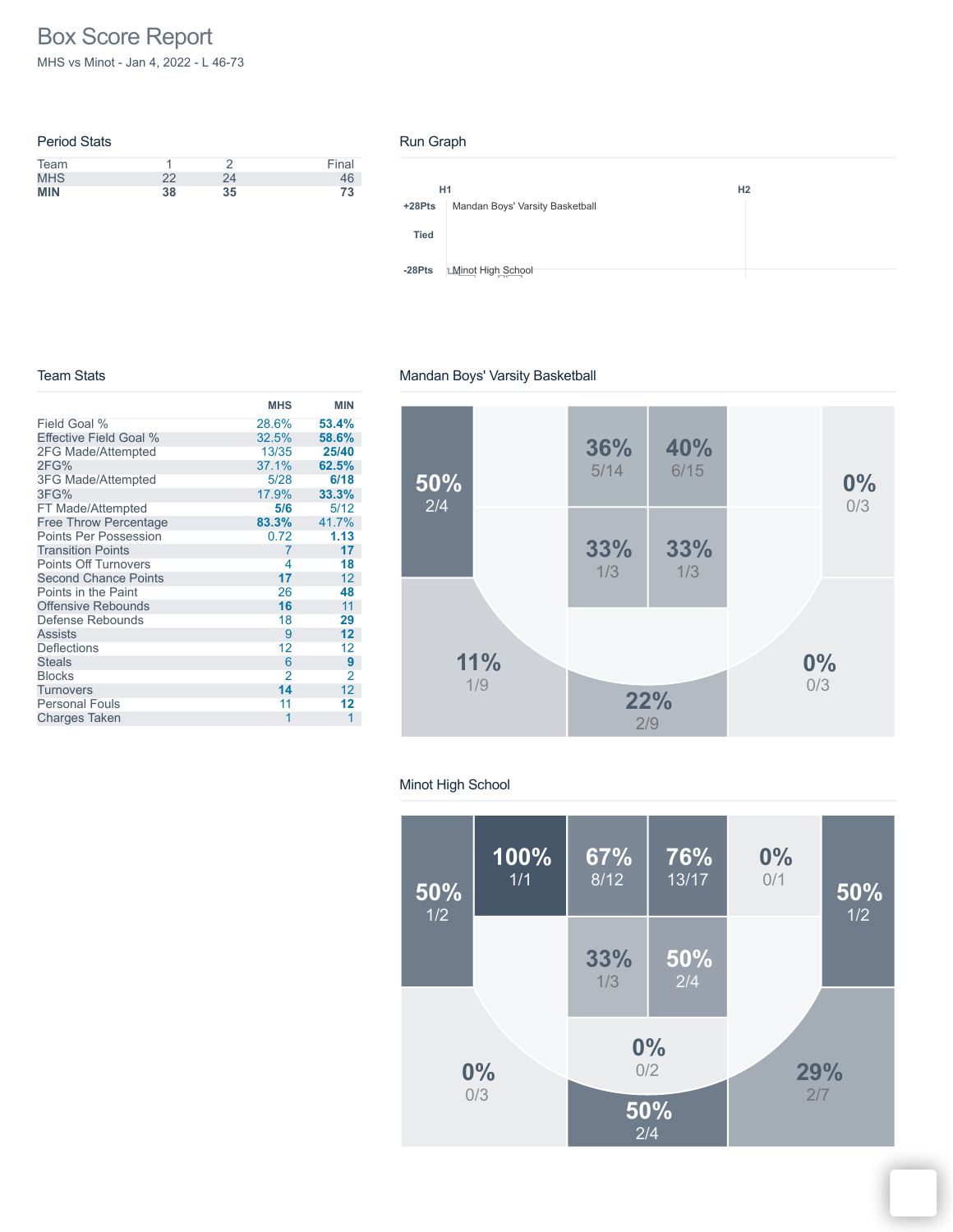# Box Score Report

MHS vs Minot - Jan 4, 2022 - L 46-73

| <b>Period Stats</b> |    |    |       |
|---------------------|----|----|-------|
| Team                |    |    | Final |
| <b>MHS</b>          | 22 | 24 | 46    |
| <b>MIN</b>          | 38 | 35 | 73    |

#### Run Graph

|             | H1<br>H <sub>2</sub>            |
|-------------|---------------------------------|
| $+28Pts$    | Mandan Boys' Varsity Basketball |
| <b>Tied</b> |                                 |
| $-28Pts$    | <b>Minot High School</b>        |

#### Team Stats

## Mandan Boys' Varsity Basketball

|                              | <b>MHS</b>     | <b>MIN</b> |
|------------------------------|----------------|------------|
| Field Goal %                 | 28.6%          | 53.4%      |
| Effective Field Goal %       | 32.5%          | 58.6%      |
| 2FG Made/Attempted           | 13/35          | 25/40      |
| 2FG%                         | 37.1%          | 62.5%      |
| 3FG Made/Attempted           | 5/28           | 6/18       |
| 3FG%                         | 17.9%          | 33.3%      |
| FT Made/Attempted            | 5/6            | 5/12       |
| <b>Free Throw Percentage</b> | 83.3%          | 41.7%      |
| <b>Points Per Possession</b> | 0.72           | 1.13       |
| <b>Transition Points</b>     | 7              | 17         |
| <b>Points Off Turnovers</b>  | 4              | 18         |
| <b>Second Chance Points</b>  | 17             | 12         |
| Points in the Paint          | 26             | 48         |
| <b>Offensive Rebounds</b>    | 16             | 11         |
| Defense Rebounds             | 18             | 29         |
| <b>Assists</b>               | 9              | 12         |
| <b>Deflections</b>           | 12             | 12         |
| <b>Steals</b>                | 6              | 9          |
| <b>Blocks</b>                | $\overline{2}$ | 2          |
| <b>Turnovers</b>             | 14             | 12         |
| <b>Personal Fouls</b>        | 11             | 12         |
| <b>Charges Taken</b>         | 1              | 1          |



## Minot High School